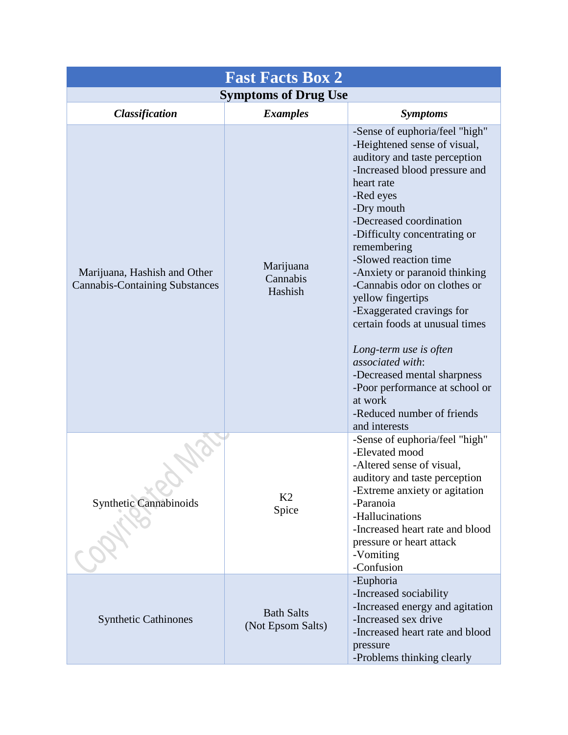| <b>Fast Facts Box 2</b>                                               |                                        |                                                                                                                                                                                                                                                                                                                                                                                                                                                                                                                                                                                                            |  |  |  |
|-----------------------------------------------------------------------|----------------------------------------|------------------------------------------------------------------------------------------------------------------------------------------------------------------------------------------------------------------------------------------------------------------------------------------------------------------------------------------------------------------------------------------------------------------------------------------------------------------------------------------------------------------------------------------------------------------------------------------------------------|--|--|--|
| <b>Symptoms of Drug Use</b>                                           |                                        |                                                                                                                                                                                                                                                                                                                                                                                                                                                                                                                                                                                                            |  |  |  |
| <b>Classification</b>                                                 | <b>Examples</b>                        | <b>Symptoms</b>                                                                                                                                                                                                                                                                                                                                                                                                                                                                                                                                                                                            |  |  |  |
| Marijuana, Hashish and Other<br><b>Cannabis-Containing Substances</b> | Marijuana<br>Cannabis<br>Hashish       | -Sense of euphoria/feel "high"<br>-Heightened sense of visual,<br>auditory and taste perception<br>-Increased blood pressure and<br>heart rate<br>-Red eyes<br>-Dry mouth<br>-Decreased coordination<br>-Difficulty concentrating or<br>remembering<br>-Slowed reaction time<br>-Anxiety or paranoid thinking<br>-Cannabis odor on clothes or<br>yellow fingertips<br>-Exaggerated cravings for<br>certain foods at unusual times<br>Long-term use is often<br>associated with:<br>-Decreased mental sharpness<br>-Poor performance at school or<br>at work<br>-Reduced number of friends<br>and interests |  |  |  |
| <b>Synthetic Cannabinoids</b>                                         | K <sub>2</sub><br>Spice                | -Sense of euphoria/feel "high"<br>-Elevated mood<br>-Altered sense of visual,<br>auditory and taste perception<br>-Extreme anxiety or agitation<br>-Paranoia<br>-Hallucinations<br>-Increased heart rate and blood<br>pressure or heart attack<br>-Vomiting<br>-Confusion                                                                                                                                                                                                                                                                                                                                  |  |  |  |
| <b>Synthetic Cathinones</b>                                           | <b>Bath Salts</b><br>(Not Epsom Salts) | -Euphoria<br>-Increased sociability<br>-Increased energy and agitation<br>-Increased sex drive<br>-Increased heart rate and blood<br>pressure<br>-Problems thinking clearly                                                                                                                                                                                                                                                                                                                                                                                                                                |  |  |  |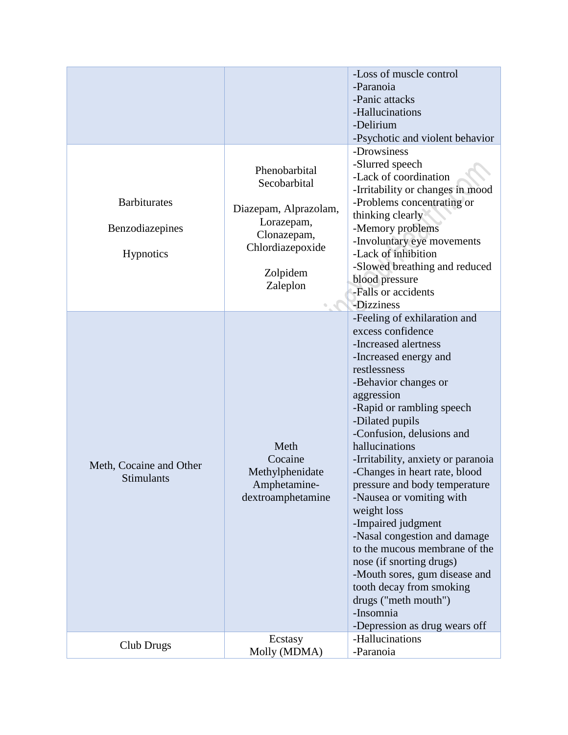|                                                     |                                                                                                                                 | -Loss of muscle control<br>-Paranoia<br>-Panic attacks<br>-Hallucinations<br>-Delirium<br>-Psychotic and violent behavior                                                                                                                                                                                                                                                                                                                                                                                                                                                                                                                                        |
|-----------------------------------------------------|---------------------------------------------------------------------------------------------------------------------------------|------------------------------------------------------------------------------------------------------------------------------------------------------------------------------------------------------------------------------------------------------------------------------------------------------------------------------------------------------------------------------------------------------------------------------------------------------------------------------------------------------------------------------------------------------------------------------------------------------------------------------------------------------------------|
| <b>Barbiturates</b><br>Benzodiazepines<br>Hypnotics | Phenobarbital<br>Secobarbital<br>Diazepam, Alprazolam,<br>Lorazepam,<br>Clonazepam,<br>Chlordiazepoxide<br>Zolpidem<br>Zaleplon | -Drowsiness<br>-Slurred speech<br>-Lack of coordination<br>-Irritability or changes in mood<br>-Problems concentrating or<br>thinking clearly<br>-Memory problems<br>-Involuntary eye movements<br>-Lack of inhibition<br>-Slowed breathing and reduced<br>blood pressure<br>-Falls or accidents<br>-Dizziness                                                                                                                                                                                                                                                                                                                                                   |
| Meth, Cocaine and Other<br>Stimulants               | Meth<br>Cocaine<br>Methylphenidate<br>Amphetamine-<br>dextroamphetamine                                                         | -Feeling of exhilaration and<br>excess confidence<br>-Increased alertness<br>-Increased energy and<br>restlessness<br>-Behavior changes or<br>aggression<br>-Rapid or rambling speech<br>-Dilated pupils<br>-Confusion, delusions and<br>hallucinations<br>-Irritability, anxiety or paranoia<br>-Changes in heart rate, blood<br>pressure and body temperature<br>-Nausea or vomiting with<br>weight loss<br>-Impaired judgment<br>-Nasal congestion and damage<br>to the mucous membrane of the<br>nose (if snorting drugs)<br>-Mouth sores, gum disease and<br>tooth decay from smoking<br>drugs ("meth mouth")<br>-Insomnia<br>-Depression as drug wears off |
| Club Drugs                                          | Ecstasy<br>Molly (MDMA)                                                                                                         | -Hallucinations<br>-Paranoia                                                                                                                                                                                                                                                                                                                                                                                                                                                                                                                                                                                                                                     |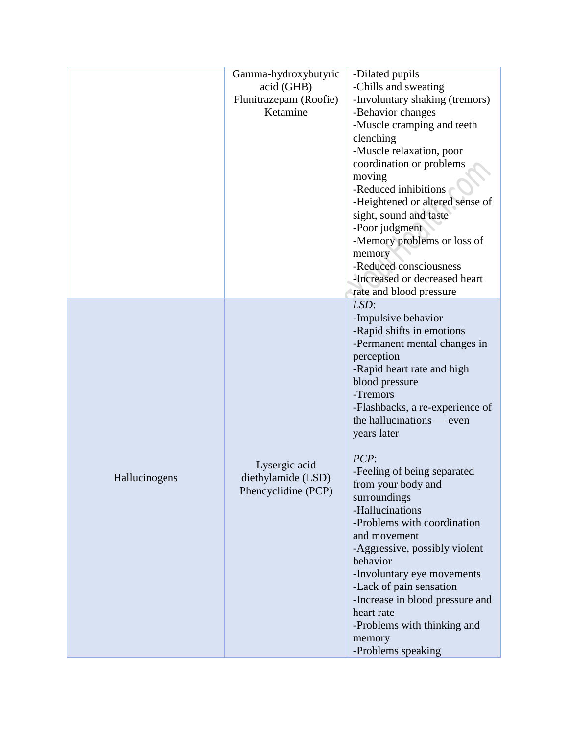|               | Gamma-hydroxybutyric<br>acid (GHB)<br>Flunitrazepam (Roofie)<br>Ketamine | -Dilated pupils<br>-Chills and sweating<br>-Involuntary shaking (tremors)<br>-Behavior changes<br>-Muscle cramping and teeth<br>clenching<br>-Muscle relaxation, poor<br>coordination or problems<br>moving<br>-Reduced inhibitions<br>-Heightened or altered sense of<br>sight, sound and taste<br>-Poor judgment<br>-Memory problems or loss of<br>memory<br>-Reduced consciousness<br>-Increased or decreased heart<br>rate and blood pressure                                                                                                                                                                      |
|---------------|--------------------------------------------------------------------------|------------------------------------------------------------------------------------------------------------------------------------------------------------------------------------------------------------------------------------------------------------------------------------------------------------------------------------------------------------------------------------------------------------------------------------------------------------------------------------------------------------------------------------------------------------------------------------------------------------------------|
| Hallucinogens | Lysergic acid<br>diethylamide (LSD)<br>Phencyclidine (PCP)               | LSD:<br>-Impulsive behavior<br>-Rapid shifts in emotions<br>-Permanent mental changes in<br>perception<br>-Rapid heart rate and high<br>blood pressure<br>-Tremors<br>-Flashbacks, a re-experience of<br>the hallucinations — even<br>years later<br>PCP:<br>-Feeling of being separated<br>from your body and<br>surroundings<br>-Hallucinations<br>-Problems with coordination<br>and movement<br>-Aggressive, possibly violent<br>behavior<br>-Involuntary eye movements<br>-Lack of pain sensation<br>-Increase in blood pressure and<br>heart rate<br>-Problems with thinking and<br>memory<br>-Problems speaking |